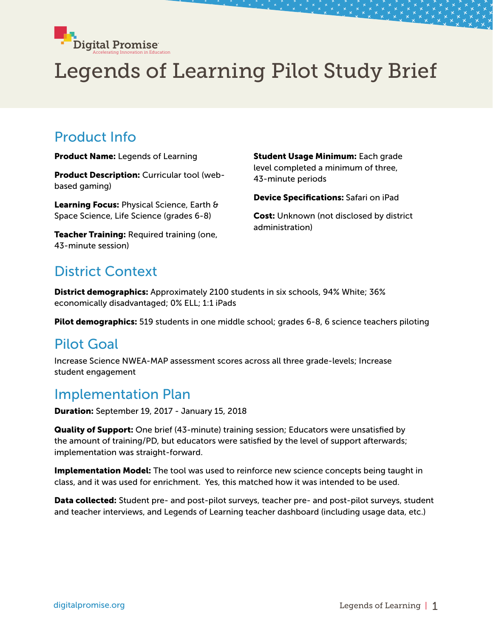

# Legends of Learning Pilot Study Brief

#### Product Info

Product Name: Legends of Learning

Product Description: Curricular tool (webbased gaming)

Learning Focus: Physical Science, Earth & Space Science, Life Science (grades 6-8)

Teacher Training: Required training (one, 43-minute session)

Student Usage Minimum: Each grade level completed a minimum of three, 43-minute periods

Device Specifications: Safari on iPad

Cost: Unknown (not disclosed by district administration)

### District Context

District demographics: Approximately 2100 students in six schools, 94% White; 36% economically disadvantaged; 0% ELL; 1:1 iPads

Pilot demographics: 519 students in one middle school; grades 6-8, 6 science teachers piloting

#### Pilot Goal

Increase Science NWEA-MAP assessment scores across all three grade-levels; Increase student engagement

#### Implementation Plan

Duration: September 19, 2017 - January 15, 2018

**Quality of Support:** One brief (43-minute) training session; Educators were unsatisfied by the amount of training/PD, but educators were satisfied by the level of support afterwards; implementation was straight-forward.

**Implementation Model:** The tool was used to reinforce new science concepts being taught in class, and it was used for enrichment. Yes, this matched how it was intended to be used.

Data collected: Student pre- and post-pilot surveys, teacher pre- and post-pilot surveys, student and teacher interviews, and Legends of Learning teacher dashboard (including usage data, etc.)